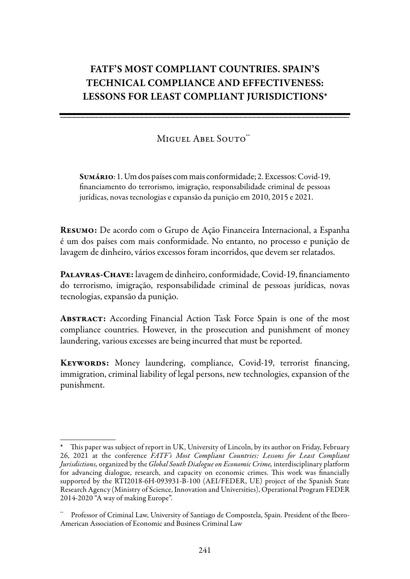# **FATF's most compliant countries. Spain's technical compliance and effectiveness: lessons for least compliant jurisdictions**\*

## MIGUEL ABEL SOUTO\*\*

\_\_\_\_\_\_\_\_\_\_\_\_\_\_\_\_\_\_\_\_\_\_\_\_\_\_\_\_\_\_\_\_\_\_\_\_\_\_\_\_\_\_\_\_\_\_\_\_\_\_\_\_\_\_\_\_\_\_\_\_\_\_\_\_ \_\_\_\_\_\_\_\_\_\_\_\_\_\_\_\_\_\_\_\_\_\_\_\_\_\_\_\_\_\_\_\_\_\_\_\_\_\_\_\_\_\_\_\_\_\_\_\_\_\_\_\_\_\_\_\_\_\_\_\_\_\_\_\_\_\_\_\_\_\_\_\_\_\_\_\_\_\_\_\_\_\_\_\_\_\_\_\_\_\_\_\_\_\_\_\_\_

\_

Sumário: 1. Um dos países com mais conformidade; 2. Excessos: Covid-19, financiamento do terrorismo, imigração, responsabilidade criminal de pessoas jurídicas, novas tecnologias e expansão da punição em 2010, 2015 e 2021.

Resumo: De acordo com o Grupo de Ação Financeira Internacional, a Espanha é um dos países com mais conformidade. No entanto, no processo e punição de lavagem de dinheiro, vários excessos foram incorridos, que devem ser relatados.

PALAVRAS-CHAVE: lavagem de dinheiro, conformidade, Covid-19, financiamento do terrorismo, imigração, responsabilidade criminal de pessoas jurídicas, novas tecnologias, expansão da punição.

ABSTRACT: According Financial Action Task Force Spain is one of the most compliance countries. However, in the prosecution and punishment of money laundering, various excesses are being incurred that must be reported.

KEYWORDS: Money laundering, compliance, Covid-19, terrorist financing, immigration, criminal liability of legal persons, new technologies, expansion of the punishment.

This paper was subject of report in UK, University of Lincoln, by its author on Friday, February 26, 2021 at the conference *FATF's Most Compliant Countries: Lessons for Least Compliant Jurisdictions,* organized by the *Global South Dialogue on Economic Crime,* interdisciplinary platform for advancing dialogue, research, and capacity on economic crimes. This work was financially supported by the RTI2018-6H-093931-B-100 (AEI/FEDER, UE) project of the Spanish State Research Agency (Ministry of Science, Innovation and Universities), Operational Program FEDER 2014-2020 "A way of making Europe".

<sup>\*\*</sup> Professor of Criminal Law, University of Santiago de Compostela, Spain. President of the Ibero-American Association of Economic and Business Criminal Law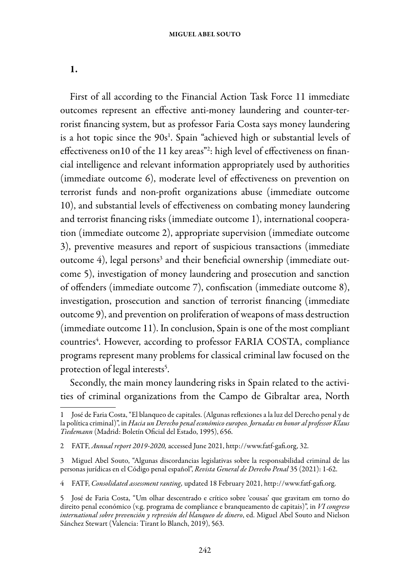1.

First of all according to the Financial Action Task Force 11 immediate outcomes represent an effective anti-money laundering and counter-terrorist financing system, but as professor Faria Costa says money laundering is a hot topic since the  $90s^1$ . Spain "achieved high or substantial levels of effectiveness on10 of the 11 key areas"<sup>2</sup>: high level of effectiveness on financial intelligence and relevant information appropriately used by authorities (immediate outcome 6), moderate level of effectiveness on prevention on terrorist funds and non-profit organizations abuse (immediate outcome 10), and substantial levels of effectiveness on combating money laundering and terrorist financing risks (immediate outcome 1), international cooperation (immediate outcome 2), appropriate supervision (immediate outcome 3), preventive measures and report of suspicious transactions (immediate outcome 4), legal persons $^3$  and their beneficial ownership (immediate outcome 5), investigation of money laundering and prosecution and sanction of offenders (immediate outcome 7), confiscation (immediate outcome 8), investigation, prosecution and sanction of terrorist financing (immediate outcome 9), and prevention on proliferation of weapons of mass destruction (immediate outcome 11). In conclusion, Spain is one of the most compliant countries<sup>4</sup>. However, according to professor FARIA COSTA, compliance programs represent many problems for classical criminal law focused on the protection of legal interests $^{\rm 5}.$ 

Secondly, the main money laundering risks in Spain related to the activities of criminal organizations from the Campo de Gibraltar area, North

<sup>1</sup> José de Faria Costa, "El blanqueo de capitales. (Algunas reflexiones a la luz del Derecho penal y de la política criminal)", in *Hacia un Derecho penal económico europeo. Jornadas en honor al professor Klaus Tiedemann* (Madrid: Boletín Oficial del Estado, 1995), 656.

<sup>2</sup> FATF, *Annual report 2019-2020,* accessed June 2021, http://www.fatf-gafi.org, 32.

<sup>3</sup> Miguel Abel Souto, "Algunas discordancias legislativas sobre la responsabilidad criminal de las personas jurídicas en el Código penal español", *Revista General de Derecho Penal* 35 (2021): 1-62.

<sup>4</sup> FATF, *Consolidated assessment ranting,* updated 18 February 2021, http://www.fatf-gafi.org.

<sup>5</sup> José de Faria Costa, "Um olhar descentrado e crítico sobre 'cousas' que gravitam em torno do direito penal económico (v.g. programa de compliance e branqueamento de capitais)", in *VI congreso international sobre prevención y represión del blanqueo de dinero*, ed. Miguel Abel Souto and Nielson Sánchez Stewart (Valencia: Tirant lo Blanch, 2019), 563.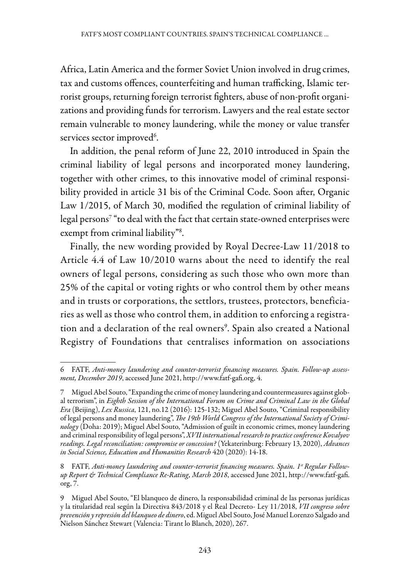Africa, Latin America and the former Soviet Union involved in drug crimes, tax and customs offences, counterfeiting and human trafficking, Islamic terrorist groups, returning foreign terrorist fighters, abuse of non-profit organizations and providing funds for terrorism. Lawyers and the real estate sector remain vulnerable to money laundering, while the money or value transfer services sector improved<sup>6</sup>.

In addition, the penal reform of June 22, 2010 introduced in Spain the criminal liability of legal persons and incorporated money laundering, together with other crimes, to this innovative model of criminal responsibility provided in article 31 bis of the Criminal Code. Soon after, Organic Law 1/2015, of March 30, modified the regulation of criminal liability of legal persons7 "to deal with the fact that certain state-owned enterprises were exempt from criminal liability"<sup>8</sup>.

Finally, the new wording provided by Royal Decree-Law 11/2018 to Article 4.4 of Law 10/2010 warns about the need to identify the real owners of legal persons, considering as such those who own more than 25% of the capital or voting rights or who control them by other means and in trusts or corporations, the settlors, trustees, protectors, beneficiaries as well as those who control them, in addition to enforcing a registration and a declaration of the real owners<sup>9</sup>. Spain also created a National Registry of Foundations that centralises information on associations

<sup>6</sup> FATF, *Anti-money laundering and counter-terrorist financing measures. Spain. Follow-up assessment, December 2019*, accessed June 2021, http://www.fatf-gafi.org, 4.

<sup>7</sup> Miguel Abel Souto, "Expanding the crime of money laundering and countermeasures against global terrorism", in *Eighth Session of the International Forum on Crime and Criminal Law in the Global Era* (Beijing), *Lex Russica*, 121, no.12 (2016): 125-132; Miguel Abel Souto, "Criminal responsibility of legal persons and money laundering", *The 19th World Congress of the International Society of Criminology* (Doha: 2019); Miguel Abel Souto, "Admission of guilt in economic crimes, money laundering and criminal responsibility of legal persons", *XVII international research to practice conference Kovalyov readings. Legal reconciliation: compromise or concession?* (Yekaterinburg: February 13, 2020), *Advances in Social Science, Education and Humanities Research* 420 (2020): 14-18.

<sup>8</sup> FATF, *Anti-money laundering and counter-terrorist financing measures. Spain. 1<sup>st</sup> Regular Followup Report & Technical Compliance Re-Rating, March 2018*, accessed June 2021, http://www.fatf-gafi. org, 7.

<sup>9</sup> Miguel Abel Souto, "El blanqueo de dinero, la responsabilidad criminal de las personas jurídicas y la titularidad real según la Directiva 843/2018 y el Real Decreto- Ley 11/2018, *VII congreso sobre prevención y represión del blanqueo de dinero*, ed. Miguel Abel Souto, José Manuel Lorenzo Salgado and Nielson Sánchez Stewart (Valencia: Tirant lo Blanch, 2020), 267.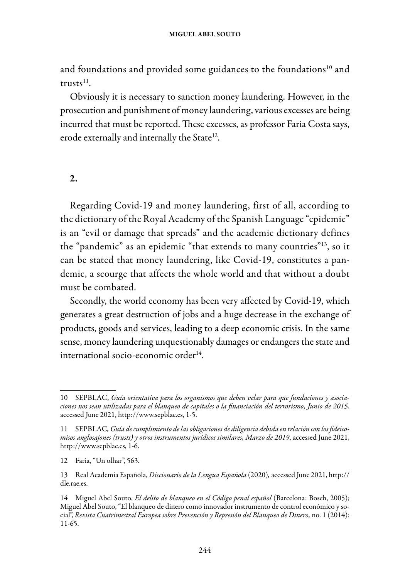and foundations and provided some guidances to the foundations<sup>10</sup> and  $t$ rusts $^{11}$ .

Obviously it is necessary to sanction money laundering. However, in the prosecution and punishment of money laundering, various excesses are being incurred that must be reported. These excesses, as professor Faria Costa says, erode externally and internally the State<sup>12</sup>.

### 2.

Regarding Covid-19 and money laundering, first of all, according to the dictionary of the Royal Academy of the Spanish Language "epidemic" is an "evil or damage that spreads" and the academic dictionary defines the "pandemic" as an epidemic "that extends to many countries"13, so it can be stated that money laundering, like Covid-19, constitutes a pandemic, a scourge that affects the whole world and that without a doubt must be combated.

Secondly, the world economy has been very affected by Covid-19, which generates a great destruction of jobs and a huge decrease in the exchange of products, goods and services, leading to a deep economic crisis. In the same sense, money laundering unquestionably damages or endangers the state and international socio-economic order $14$ .

<sup>10</sup> SEPBLAC, *Guía orientativa para los organismos que deben velar para que fundaciones y asociaciones nos sean utilizadas para el blanqueo de capitales o la financiación del terrorismo, Junio de 2015*, accessed June 2021, http://www.sepblac.es, 1-5.

<sup>11</sup> SEPBLAC*, Guía de cumplimiento de las obligaciones de diligencia debida en relación con los fideicomisos anglosajones (trusts) y otros instrumentos jurídicos similares, Marzo de 2019*, accessed June 2021, http://www.sepblac.es, 1-6.

<sup>12</sup> Faria, "Un olhar", 563.

<sup>13</sup> Real Academia Española, *Diccionario de la Lengua Española* (2020)*,* accessed June 2021, http:// dle.rae.es.

<sup>14</sup> Miguel Abel Souto, *El delito de blanqueo en el Código penal español* (Barcelona: Bosch, 2005); Miguel Abel Souto, "El blanqueo de dinero como innovador instrumento de control económico y social", *Revista Cuatrimestral Europea sobre Prevención y Represión del Blanqueo de Dinero,* no. 1 (2014): 11-65.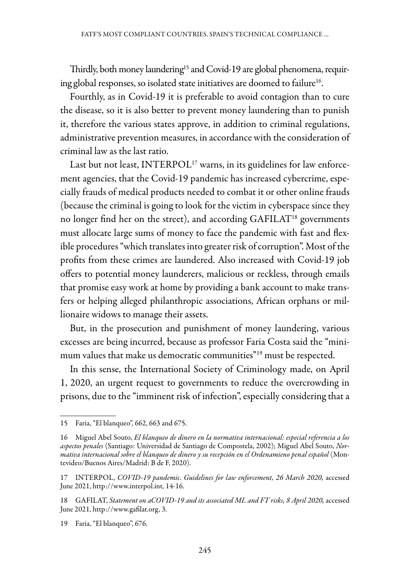Thirdly, both money laundering<sup>15</sup> and Covid-19 are global phenomena, requiring global responses, so isolated state initiatives are doomed to failure<sup>16</sup>.

Fourthly, as in Covid-19 it is preferable to avoid contagion than to cure the disease, so it is also better to prevent money laundering than to punish it, therefore the various states approve, in addition to criminal regulations, administrative prevention measures, in accordance with the consideration of criminal law as the last ratio.

Last but not least, INTERPOL<sup>17</sup> warns, in its guidelines for law enforcement agencies, that the Covid-19 pandemic has increased cybercrime, especially frauds of medical products needed to combat it or other online frauds (because the criminal is going to look for the victim in cyberspace since they no longer find her on the street), and according GAFILAT<sup>18</sup> governments must allocate large sums of money to face the pandemic with fast and flexible procedures "which translates into greater risk of corruption". Most of the profits from these crimes are laundered. Also increased with Covid-19 job offers to potential money launderers, malicious or reckless, through emails that promise easy work at home by providing a bank account to make transfers or helping alleged philanthropic associations, African orphans or millionaire widows to manage their assets.

But, in the prosecution and punishment of money laundering, various excesses are being incurred, because as professor Faria Costa said the "minimum values that make us democratic communities"19 must be respected.

In this sense, the International Society of Criminology made, on April 1, 2020, an urgent request to governments to reduce the overcrowding in prisons, due to the "imminent risk of infection", especially considering that a

19 Faria, "El blanqueo", 676.

<sup>15</sup> Faria, "El blanqueo", 662, 663 and 675.

<sup>16</sup> Miguel Abel Souto, *El blanqueo de dinero en la normativa internacional: especial referencia a los aspectos penales* (Santiago: Universidad de Santiago de Compostela, 2002); Miguel Abel Souto, *Normativa internacional sobre el blanqueo de dinero y su recepción en el Ordenamieno penal español* (Montevideo/Buenos Aires/Madrid: B de F, 2020).

<sup>17</sup> INTERPOL, *COVID-19 pandemic*. *Guidelines for law enforcement, 26 March 2020,* accessed June 2021, http://www.interpol.int, 14-16.

<sup>18</sup> GAFILAT, *Statement on aCOVID-19 and its associated ML and FT risks, 8 April 2020, accessed* June 2021, http://www.gafilat.org, 3.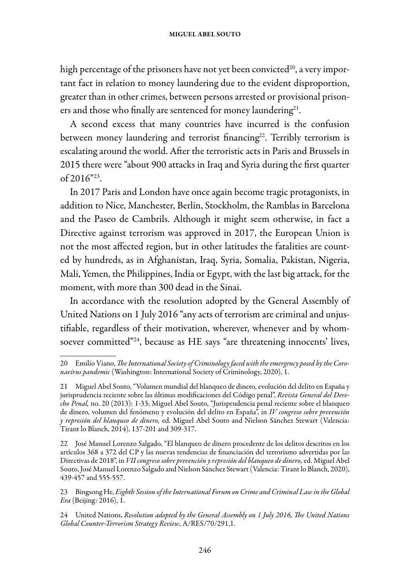high percentage of the prisoners have not yet been convicted<sup>20</sup>, a very important fact in relation to money laundering due to the evident disproportion, greater than in other crimes, between persons arrested or provisional prisoners and those who finally are sentenced for money laundering<sup>21</sup>.

A second excess that many countries have incurred is the confusion between money laundering and terrorist financing<sup>22</sup>. Terribly terrorism is escalating around the world. After the terroristic acts in Paris and Brussels in 2015 there were "about 900 attacks in Iraq and Syria during the first quarter of 2016"23.

In 2017 Paris and London have once again become tragic protagonists, in addition to Nice, Manchester, Berlin, Stockholm, the Ramblas in Barcelona and the Paseo de Cambrils. Although it might seem otherwise, in fact a Directive against terrorism was approved in 2017, the European Union is not the most affected region, but in other latitudes the fatalities are counted by hundreds, as in Afghanistan, Iraq, Syria, Somalia, Pakistan, Nigeria, Mali, Yemen, the Philippines, India or Egypt, with the last big attack, for the moment, with more than 300 dead in the Sinai.

In accordance with the resolution adopted by the General Assembly of United Nations on 1 July 2016 "any acts of terrorism are criminal and unjustifiable, regardless of their motivation, wherever, whenever and by whomsoever committed"<sup>24</sup>, because as HE says "are threatening innocents' lives,

<sup>20</sup> Emilio Viano, *The International Society of Criminology faced with the emergency posed by the Coronavirus pandemic* (Washington: International Society of Criminology, 2020), 1.

<sup>21</sup> Miguel Abel Souto, "Volumen mundial del blanqueo de dinero, evolución del delito en España y jurisprudencia reciente sobre las últimas modificaciones del Código penal", *Revista General del Derecho Penal,* no. 20 (2013): 1-33; Miguel Abel Souto, "Jurisprudencia penal reciente sobre el blanqueo de dinero, volumen del fenómeno y evolución del delito en España", in *IV congreso sobre prevención y represión del blanqueo de dinero,* ed. Miguel Abel Souto and Nielson Sánchez Stewart (Valencia: Tirant lo Blanch, 2014), 137-201 and 309-317.

<sup>22</sup> José Manuel Lorenzo Salgado, "El blanqueo de dinero procedente de los delitos descritos en los artículos 368 a 372 del CP y las nuevas tendencias de financiación del terrorismo advertidas por las Directivas de 2018", in *VII congreso sobre prevención y represión del blanqueo de dinero,* ed. Miguel Abel Souto, José Manuel Lorenzo Salgado and Nielson Sánchez Stewart (Valencia: Tirant lo Blanch, 2020), 439-457 and 555-557.

<sup>23</sup> Bingsong He, *Eighth Session of the International Forum on Crime and Criminal Law in the Global Era* (Beijing: 2016), 1.

<sup>24</sup> United Nations, *Resolution adopted by the General Assembly on 1 July 2016, The United Nations Global Counter-Terrorism Strategy Review*, A/RES/70/291,1.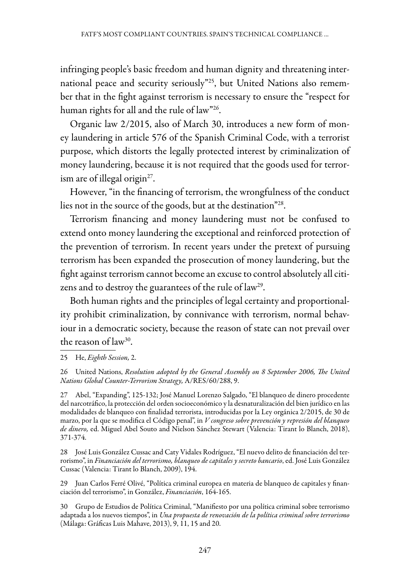infringing people's basic freedom and human dignity and threatening international peace and security seriously"25, but United Nations also remember that in the fight against terrorism is necessary to ensure the "respect for human rights for all and the rule of law"26.

Organic law 2/2015, also of March 30, introduces a new form of money laundering in article 576 of the Spanish Criminal Code, with a terrorist purpose, which distorts the legally protected interest by criminalization of money laundering, because it is not required that the goods used for terrorism are of illegal origin<sup>27</sup>.

However, "in the financing of terrorism, the wrongfulness of the conduct lies not in the source of the goods, but at the destination"28.

Terrorism financing and money laundering must not be confused to extend onto money laundering the exceptional and reinforced protection of the prevention of terrorism. In recent years under the pretext of pursuing terrorism has been expanded the prosecution of money laundering, but the fight against terrorism cannot become an excuse to control absolutely all citizens and to destroy the guarantees of the rule of law<sup>29</sup>.

Both human rights and the principles of legal certainty and proportionality prohibit criminalization, by connivance with terrorism, normal behaviour in a democratic society, because the reason of state can not prevail over the reason of  $law^{30}$ .

25 He, *Eighth Session,* 2.

27 Abel, "Expanding", 125-132; José Manuel Lorenzo Salgado, "El blanqueo de dinero procedente del narcotráfico, la protección del orden socioeconómico y la desnaturalización del bien jurídico en las modalidades de blanqueo con finalidad terrorista, introducidas por la Ley orgánica 2/2015, de 30 de marzo, por la que se modifica el Código penal", in *V congreso sobre prevención y represión del blanqueo de dinero,* ed. Miguel Abel Souto and Nielson Sánchez Stewart (Valencia: Tirant lo Blanch, 2018), 371-374.

28 José Luis González Cussac and Caty Vidales Rodríguez, "El nuevo delito de financiación del terrorismo", in *Financiación del terrorismo, blanqueo de capitales y secreto bancario*, ed. José Luis González Cussac (Valencia: Tirant lo Blanch, 2009), 194.

29 Juan Carlos Ferré Olivé, "Política criminal europea en materia de blanqueo de capitales y financiación del terrorismo", in González, *Financiación*, 164-165.

30 Grupo de Estudios de Política Criminal, "Manifiesto por una política criminal sobre terrorismo adaptada a los nuevos tiempos", in *Una propuesta de renovación de la política criminal sobre terrorismo* (Málaga: Gráficas Luis Mahave, 2013), 9, 11, 15 and 20.

<sup>26</sup> United Nations, *Resolution adopted by the General Assembly on 8 September 2006, The United Nations Global Counter-Terrorism Strategy,* A/RES/60/288, 9.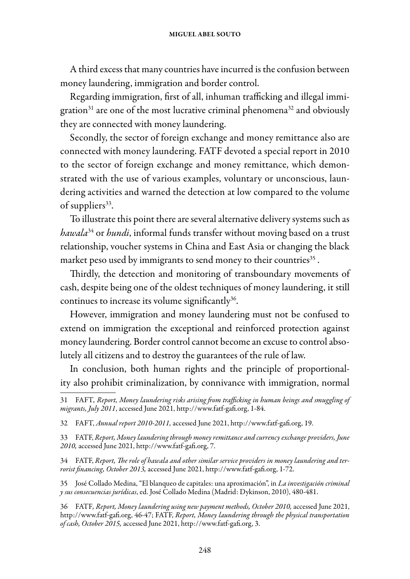#### miguel abel souto

A third excess that many countries have incurred is the confusion between money laundering, immigration and border control.

Regarding immigration, first of all, inhuman trafficking and illegal immigration $31$  are one of the most lucrative criminal phenomena $32$  and obviously they are connected with money laundering.

Secondly, the sector of foreign exchange and money remittance also are connected with money laundering. FATF devoted a special report in 2010 to the sector of foreign exchange and money remittance, which demonstrated with the use of various examples, voluntary or unconscious, laundering activities and warned the detection at low compared to the volume of suppliers<sup>33</sup>.

To illustrate this point there are several alternative delivery systems such as *hawala*34 or *hundi*, informal funds transfer without moving based on a trust relationship, voucher systems in China and East Asia or changing the black market peso used by immigrants to send money to their countries<sup>35</sup>.

Thirdly, the detection and monitoring of transboundary movements of cash, despite being one of the oldest techniques of money laundering, it still continues to increase its volume significantly<sup>36</sup>.

However, immigration and money laundering must not be confused to extend on immigration the exceptional and reinforced protection against money laundering. Border control cannot become an excuse to control absolutely all citizens and to destroy the guarantees of the rule of law.

In conclusion, both human rights and the principle of proportionality also prohibit criminalization, by connivance with immigration, normal

36 FATF*, Report, Money laundering using new payment methods, October 2010,* accessed June 2021, http://www.fatf-gafi.org, 46-47; FATF, *Report, Money laundering through the physical transportation of cash, October 2015,* accessed June 2021, http://www.fatf-gafi.org, 3.

<sup>31</sup> FAFT*, Report, Money laundering risks arising from trafficking in human beings and smuggling of migrants, July 2011*, accessed June 2021, http://www.fatf-gafi.org, 1-84.

<sup>32</sup> FAFT, *Annual report 2010-2011,* accessed June 2021, http://www.fatf-gafi.org, 19.

<sup>33</sup> FATF, *Report, Money laundering through money remittance and currency exchange providers, June 2010,* accessed June 2021, http://www.fatf-gafi.org, 7.

<sup>34</sup> FATF, *Report, The role of hawala and other similar service providers in money laundering and terrorist financing, October 2013,* accessed June 2021, http://www.fatf-gafi.org, 1-72.

<sup>35</sup> José Collado Medina, "El blanqueo de capitales: una aproximación", in *La investigación criminal y sus consecuencias jurídicas*, ed. José Collado Medina (Madrid: Dykinson, 2010), 480-481.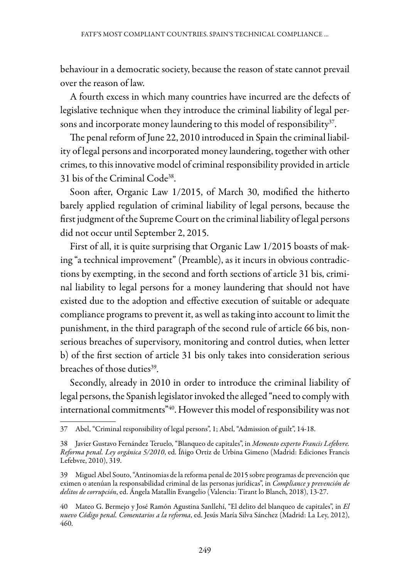behaviour in a democratic society, because the reason of state cannot prevail over the reason of law.

A fourth excess in which many countries have incurred are the defects of legislative technique when they introduce the criminal liability of legal persons and incorporate money laundering to this model of responsibility<sup>37</sup>.

The penal reform of June 22, 2010 introduced in Spain the criminal liability of legal persons and incorporated money laundering, together with other crimes, to this innovative model of criminal responsibility provided in article 31 bis of the Criminal Code38.

Soon after, Organic Law 1/2015, of March 30, modified the hitherto barely applied regulation of criminal liability of legal persons, because the first judgment of the Supreme Court on the criminal liability of legal persons did not occur until September 2, 2015.

First of all, it is quite surprising that Organic Law 1/2015 boasts of making "a technical improvement" (Preamble), as it incurs in obvious contradictions by exempting, in the second and forth sections of article 31 bis, criminal liability to legal persons for a money laundering that should not have existed due to the adoption and effective execution of suitable or adequate compliance programs to prevent it, as well as taking into account to limit the punishment, in the third paragraph of the second rule of article 66 bis, nonserious breaches of supervisory, monitoring and control duties, when letter b) of the first section of article 31 bis only takes into consideration serious breaches of those duties<sup>39</sup>.

Secondly, already in 2010 in order to introduce the criminal liability of legal persons, the Spanish legislator invoked the alleged "need to comply with international commitments<sup>"40</sup>. However this model of responsibility was not

<sup>37</sup> Abel, "Criminal responsibility of legal persons", 1; Abel, "Admission of guilt", 14-18.

<sup>38</sup> Javier Gustavo Fernández Teruelo, "Blanqueo de capitales", in *Memento experto Francis Lefebvre. Reforma penal. Ley orgánica 5/2010*, ed. Íñigo Ortiz de Urbina Gimeno (Madrid: Ediciones Francis Lefebvre, 2010), 319.

<sup>39</sup> Miguel Abel Souto, "Antinomias de la reforma penal de 2015 sobre programas de prevención que eximen o atenúan la responsabilidad criminal de las personas jurídicas", in *Compliance y prevención de delitos de corrupción*, ed. Ángela Matallín Evangelio (Valencia: Tirant lo Blanch, 2018), 13-27.

<sup>40</sup> Mateo G. Bermejo y José Ramón Agustina Sanllehí, "El delito del blanqueo de capitales", in *El nuevo Código penal. Comentarios a la reforma*, ed. Jesús María Silva Sánchez (Madrid: La Ley, 2012), 460.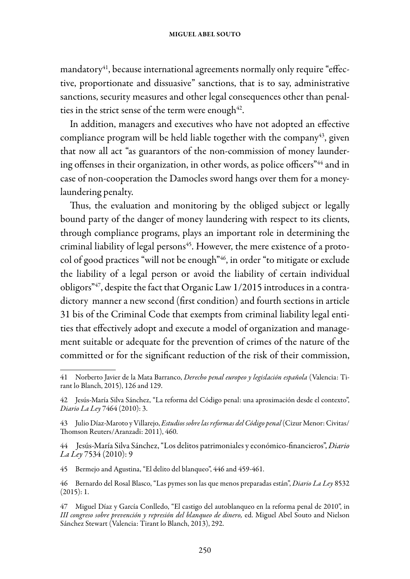mandatory $4$ <sup>1</sup>, because international agreements normally only require "effective, proportionate and dissuasive" sanctions, that is to say, administrative sanctions, security measures and other legal consequences other than penalties in the strict sense of the term were enough<sup>42</sup>.

In addition, managers and executives who have not adopted an effective compliance program will be held liable together with the company<sup>43</sup>, given that now all act "as guarantors of the non-commission of money laundering offenses in their organization, in other words, as police officers<sup>"44</sup> and in case of non-cooperation the Damocles sword hangs over them for a moneylaundering penalty.

Thus, the evaluation and monitoring by the obliged subject or legally bound party of the danger of money laundering with respect to its clients, through compliance programs, plays an important role in determining the criminal liability of legal persons<sup>45</sup>. However, the mere existence of a protocol of good practices "will not be enough"46, in order "to mitigate or exclude the liability of a legal person or avoid the liability of certain individual obligors"47, despite the fact that Organic Law 1/2015 introduces in a contradictory manner a new second (first condition) and fourth sections in article 31 bis of the Criminal Code that exempts from criminal liability legal entities that effectively adopt and execute a model of organization and management suitable or adequate for the prevention of crimes of the nature of the committed or for the significant reduction of the risk of their commission,

45 Bermejo and Agustina, "El delito del blanqueo", 446 and 459-461.

<sup>41</sup> Norberto Javier de la Mata Barranco, *Derecho penal europeo y legislación española* (Valencia: Tirant lo Blanch, 2015), 126 and 129.

<sup>42</sup> Jesús-María Silva Sánchez, "La reforma del Código penal: una aproximación desde el contexto", *Diario La Ley* 7464 (2010): 3.

<sup>43</sup> Julio Díaz-Maroto y Villarejo, *Estudios sobre las reformas del Código penal* (Cizur Menor: Civitas/ Thomson Reuters/Aranzadi: 2011), 460.

<sup>44</sup> Jesús-María Silva Sánchez, "Los delitos patrimoniales y económico-financieros", *Diario La Ley* 7534 (2010): 9

<sup>46</sup> Bernardo del Rosal Blasco, "Las pymes son las que menos preparadas están", *Diario La Ley* 8532  $(2015): 1.$ 

<sup>47</sup> Miguel Díaz y García Conlledo, "El castigo del autoblanqueo en la reforma penal de 2010", in *III congreso sobre prevención y represión del blanqueo de dinero,* ed. Miguel Abel Souto and Nielson Sánchez Stewart (Valencia: Tirant lo Blanch, 2013), 292.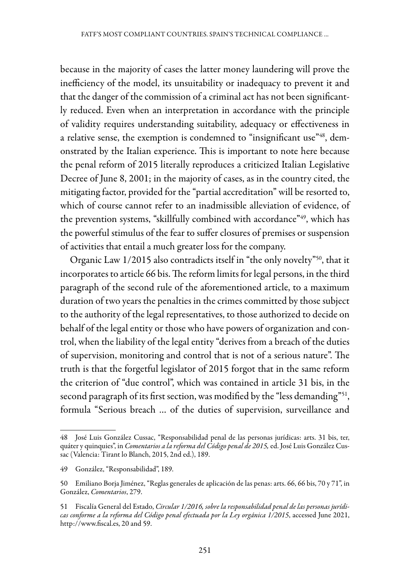because in the majority of cases the latter money laundering will prove the inefficiency of the model, its unsuitability or inadequacy to prevent it and that the danger of the commission of a criminal act has not been significantly reduced. Even when an interpretation in accordance with the principle of validity requires understanding suitability, adequacy or effectiveness in a relative sense, the exemption is condemned to "insignificant use"<sup>48</sup>, demonstrated by the Italian experience. This is important to note here because the penal reform of 2015 literally reproduces a criticized Italian Legislative Decree of June 8, 2001; in the majority of cases, as in the country cited, the mitigating factor, provided for the "partial accreditation" will be resorted to, which of course cannot refer to an inadmissible alleviation of evidence, of the prevention systems, "skillfully combined with accordance"<sup>49</sup>, which has the powerful stimulus of the fear to suffer closures of premises or suspension of activities that entail a much greater loss for the company.

Organic Law 1/2015 also contradicts itself in "the only novelty"<sup>50</sup>, that it incorporates to article 66 bis. The reform limits for legal persons, in the third paragraph of the second rule of the aforementioned article, to a maximum duration of two years the penalties in the crimes committed by those subject to the authority of the legal representatives, to those authorized to decide on behalf of the legal entity or those who have powers of organization and control, when the liability of the legal entity "derives from a breach of the duties of supervision, monitoring and control that is not of a serious nature". The truth is that the forgetful legislator of 2015 forgot that in the same reform the criterion of "due control", which was contained in article 31 bis, in the second paragraph of its first section, was modified by the "less demanding"<sup>51</sup>, formula "Serious breach … of the duties of supervision, surveillance and

<sup>48</sup> José Luis González Cussac, "Responsabilidad penal de las personas jurídicas: arts. 31 bis, ter, quáter y quinquies", in *Comentarios a la reforma del Código penal de 2015,* ed. José Luis González Cussac (Valencia: Tirant lo Blanch, 2015, 2nd ed.), 189.

<sup>49</sup> González, "Responsabilidad", 189.

<sup>50</sup> Emiliano Borja Jiménez, "Reglas generales de aplicación de las penas: arts. 66, 66 bis, 70 y 71", in González, *Comentarios*, 279.

<sup>51</sup> Fiscalía General del Estado, *Circular 1/2016, sobre la responsabilidad penal de las personas jurídicas conforme a la reforma del Código penal efectuada por la Ley orgánica 1/2015*, accessed June 2021, http://www.fiscal.es, 20 and 59.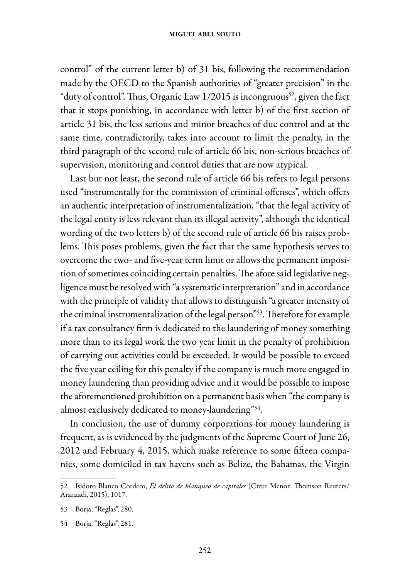#### miguel abel souto

control" of the current letter b) of 31 bis, following the recommendation made by the OECD to the Spanish authorities of "greater precision" in the "duty of control". Thus, Organic Law  $1/2015$  is incongruous<sup>52</sup>, given the fact that it stops punishing, in accordance with letter b) of the first section of article 31 bis, the less serious and minor breaches of due control and at the same time, contradictorily, takes into account to limit the penalty, in the third paragraph of the second rule of article 66 bis, non-serious breaches of supervision, monitoring and control duties that are now atypical.

Last but not least, the second rule of article 66 bis refers to legal persons used "instrumentally for the commission of criminal offenses", which offers an authentic interpretation of instrumentalization, "that the legal activity of the legal entity is less relevant than its illegal activity", although the identical wording of the two letters b) of the second rule of article 66 bis raises problems. This poses problems, given the fact that the same hypothesis serves to overcome the two- and five-year term limit or allows the permanent imposition of sometimes coinciding certain penalties. The afore said legislative negligence must be resolved with "a systematic interpretation" and in accordance with the principle of validity that allows to distinguish "a greater intensity of the criminal instrumentalization of the legal person"<sup>53</sup>. Therefore for example if a tax consultancy firm is dedicated to the laundering of money something more than to its legal work the two year limit in the penalty of prohibition of carrying out activities could be exceeded. It would be possible to exceed the five year ceiling for this penalty if the company is much more engaged in money laundering than providing advice and it would be possible to impose the aforementioned prohibition on a permanent basis when "the company is almost exclusively dedicated to money-laundering"54.

In conclusion, the use of dummy corporations for money laundering is frequent, as is evidenced by the judgments of the Supreme Court of June 26, 2012 and February 4, 2015, which make reference to some fifteen companies, some domiciled in tax havens such as Belize, the Bahamas, the Virgin

<sup>52</sup> Isidoro Blanco Cordero, *El delito de blanqueo de capitales* (Cizur Menor: Thomson Reuters/ Aranzadi, 2015), 1017.

<sup>53</sup> Borja, "Reglas", 280.

<sup>54</sup> Borja, "Reglas", 281.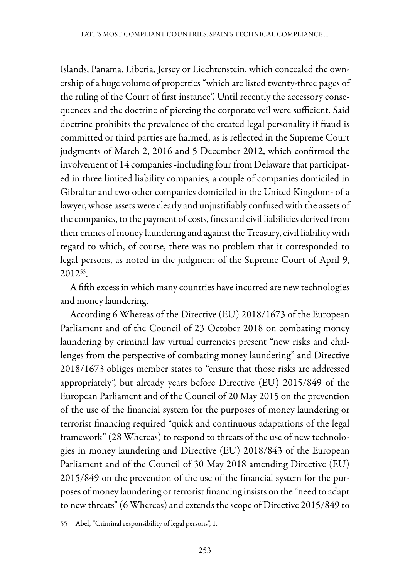Islands, Panama, Liberia, Jersey or Liechtenstein, which concealed the ownership of a huge volume of properties "which are listed twenty-three pages of the ruling of the Court of first instance". Until recently the accessory consequences and the doctrine of piercing the corporate veil were sufficient. Said doctrine prohibits the prevalence of the created legal personality if fraud is committed or third parties are harmed, as is reflected in the Supreme Court judgments of March 2, 2016 and 5 December 2012, which confirmed the involvement of 14 companies -including four from Delaware that participated in three limited liability companies, a couple of companies domiciled in Gibraltar and two other companies domiciled in the United Kingdom- of a lawyer, whose assets were clearly and unjustifiably confused with the assets of the companies, to the payment of costs, fines and civil liabilities derived from their crimes of money laundering and against the Treasury, civil liability with regard to which, of course, there was no problem that it corresponded to legal persons, as noted in the judgment of the Supreme Court of April 9, 201255.

A fifth excess in which many countries have incurred are new technologies and money laundering.

According 6 Whereas of the Directive (EU) 2018/1673 of the European Parliament and of the Council of 23 October 2018 on combating money laundering by criminal law virtual currencies present "new risks and challenges from the perspective of combating money laundering" and Directive 2018/1673 obliges member states to "ensure that those risks are addressed appropriately", but already years before Directive (EU) 2015/849 of the European Parliament and of the Council of 20 May 2015 on the prevention of the use of the financial system for the purposes of money laundering or terrorist financing required "quick and continuous adaptations of the legal framework" (28 Whereas) to respond to threats of the use of new technologies in money laundering and Directive (EU) 2018/843 of the European Parliament and of the Council of 30 May 2018 amending Directive (EU) 2015/849 on the prevention of the use of the financial system for the purposes of money laundering or terrorist financing insists on the "need to adapt to new threats" (6 Whereas) and extends the scope of Directive 2015/849 to

<sup>55</sup> Abel, "Criminal responsibility of legal persons", 1.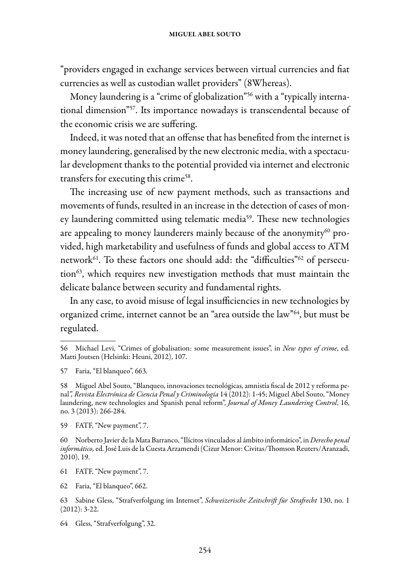"providers engaged in exchange services between virtual currencies and fiat currencies as well as custodian wallet providers" (8Whereas).

Money laundering is a "crime of globalization"<sup>56</sup> with a "typically international dimension"57. Its importance nowadays is transcendental because of the economic crisis we are suffering.

Indeed, it was noted that an offense that has benefited from the internet is money laundering, generalised by the new electronic media, with a spectacular development thanks to the potential provided via internet and electronic transfers for executing this crime<sup>58</sup>.

The increasing use of new payment methods, such as transactions and movements of funds, resulted in an increase in the detection of cases of money laundering committed using telematic media<sup>59</sup>. These new technologies are appealing to money launderers mainly because of the anonymity<sup>60</sup> provided, high marketability and usefulness of funds and global access to ATM network<sup>61</sup>. To these factors one should add: the "difficulties"<sup>62</sup> of persecution<sup>63</sup>, which requires new investigation methods that must maintain the delicate balance between security and fundamental rights.

In any case, to avoid misuse of legal insufficiencies in new technologies by organized crime, internet cannot be an "area outside the law"64, but must be regulated.

<sup>56</sup> Michael Levi, "Crimes of globalisation: some measurement issues", in *New types of crime*, ed. Matti Joutsen (Helsinki: Heuni, 2012), 107.

<sup>57</sup> Faria, "El blanqueo", 663.

<sup>58</sup> Miguel Abel Souto, "Blanqueo, innovaciones tecnológicas, amnistía fiscal de 2012 y reforma penal*", Revista Electrónica de Ciencia Penal y Criminología* 14 (2012): 1-45; Miguel Abel Souto, "Money laundering, new technologies and Spanish penal reform", *Journal of Money Laundering Control*, 16, no. 3 (2013): 266-284.

<sup>59</sup> FATF, "New payment", 7.

<sup>60</sup> Norberto Javier de la Mata Barranco, "Ilícitos vinculados al ámbito informático", in *Derecho penal informático,* ed. José Luis de la Cuesta Arzamendi (Cizur Menor: Civitas/Thomson Reuters/Aranzadi, 2010), 19.

<sup>61</sup> FATF, "New payment", 7.

<sup>62</sup> Faria, "El blanqueo", 662.

<sup>63</sup> Sabine Gless, "Strafverfolgung im Internet", *Schweizerische Zeitschrift für Strafrecht* 130, no. 1 (2012): 3-22.

<sup>64</sup> Gless, "Strafverfolgung", 32.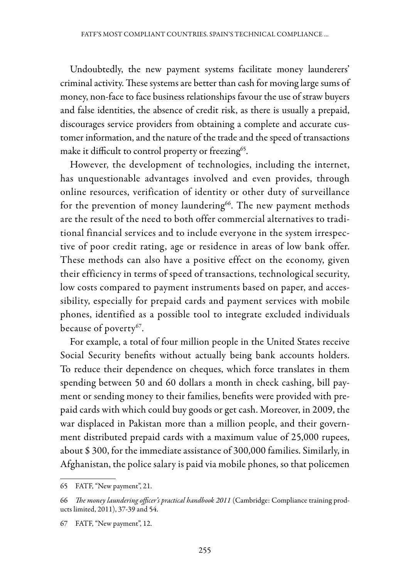Undoubtedly, the new payment systems facilitate money launderers' criminal activity. These systems are better than cash for moving large sums of money, non-face to face business relationships favour the use of straw buyers and false identities, the absence of credit risk, as there is usually a prepaid, discourages service providers from obtaining a complete and accurate customer information, and the nature of the trade and the speed of transactions make it difficult to control property or freezing<sup>65</sup>.

However, the development of technologies, including the internet, has unquestionable advantages involved and even provides, through online resources, verification of identity or other duty of surveillance for the prevention of money laundering<sup>66</sup>. The new payment methods are the result of the need to both offer commercial alternatives to traditional financial services and to include everyone in the system irrespective of poor credit rating, age or residence in areas of low bank offer. These methods can also have a positive effect on the economy, given their efficiency in terms of speed of transactions, technological security, low costs compared to payment instruments based on paper, and accessibility, especially for prepaid cards and payment services with mobile phones, identified as a possible tool to integrate excluded individuals because of poverty<sup>67</sup>.

For example, a total of four million people in the United States receive Social Security benefits without actually being bank accounts holders. To reduce their dependence on cheques, which force translates in them spending between 50 and 60 dollars a month in check cashing, bill payment or sending money to their families, benefits were provided with prepaid cards with which could buy goods or get cash. Moreover, in 2009, the war displaced in Pakistan more than a million people, and their government distributed prepaid cards with a maximum value of 25,000 rupees, about \$ 300, for the immediate assistance of 300,000 families. Similarly, in Afghanistan, the police salary is paid via mobile phones, so that policemen

<sup>65</sup> FATF, "New payment", 21.

<sup>66</sup> *The money laundering officer's practical handbook 2011* (Cambridge: Compliance training products limited, 2011), 37-39 and 54.

<sup>67</sup> FATF, "New payment", 12.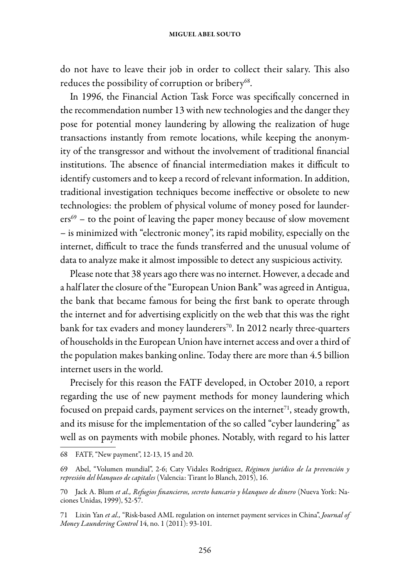#### miguel abel souto

do not have to leave their job in order to collect their salary. This also reduces the possibility of corruption or bribery<sup>68</sup>.

In 1996, the Financial Action Task Force was specifically concerned in the recommendation number 13 with new technologies and the danger they pose for potential money laundering by allowing the realization of huge transactions instantly from remote locations, while keeping the anonymity of the transgressor and without the involvement of traditional financial institutions. The absence of financial intermediation makes it difficult to identify customers and to keep a record of relevant information. In addition, traditional investigation techniques become ineffective or obsolete to new technologies: the problem of physical volume of money posed for launderers<sup>69</sup> – to the point of leaving the paper money because of slow movement – is minimized with "electronic money", its rapid mobility, especially on the internet, difficult to trace the funds transferred and the unusual volume of data to analyze make it almost impossible to detect any suspicious activity.

Please note that 38 years ago there was no internet. However, a decade and a half later the closure of the "European Union Bank" was agreed in Antigua, the bank that became famous for being the first bank to operate through the internet and for advertising explicitly on the web that this was the right bank for tax evaders and money launderers<sup>70</sup>. In 2012 nearly three-quarters of households in the European Union have internet access and over a third of the population makes banking online. Today there are more than 4.5 billion internet users in the world.

Precisely for this reason the FATF developed, in October 2010, a report regarding the use of new payment methods for money laundering which focused on prepaid cards, payment services on the internet $^{71}$ , steady growth, and its misuse for the implementation of the so called "cyber laundering" as well as on payments with mobile phones. Notably, with regard to his latter

<sup>68</sup> FATF, "New payment", 12-13, 15 and 20.

<sup>69</sup> Abel, "Volumen mundial", 2-6; Caty Vidales Rodríguez, *Régimen jurídico de la prevención y represión del blanqueo de capitales* (Valencia: Tirant lo Blanch, 2015), 16.

<sup>70</sup> Jack A. Blum *et al., Refugios financieros, secreto bancario y blanqueo de dinero* (Nueva York: Naciones Unidas, 1999), 52-57.

<sup>71</sup> Lixin Yan *et al.,* "Risk-based AML regulation on internet payment services in China", *Journal of Money Laundering Control* 14, no. 1 (2011): 93-101.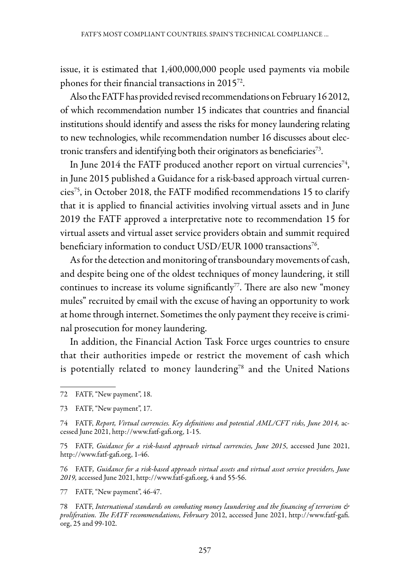issue, it is estimated that 1,400,000,000 people used payments via mobile phones for their financial transactions in 201572.

Also the FATF has provided revised recommendations on February 16 2012, of which recommendation number 15 indicates that countries and financial institutions should identify and assess the risks for money laundering relating to new technologies, while recommendation number 16 discusses about electronic transfers and identifying both their originators as beneficiaries<sup>73</sup>.

In June 2014 the FATF produced another report on virtual currencies<sup>74</sup>, in June 2015 published a Guidance for a risk-based approach virtual currencies75, in October 2018, the FATF modified recommendations 15 to clarify that it is applied to financial activities involving virtual assets and in June 2019 the FATF approved a interpretative note to recommendation 15 for virtual assets and virtual asset service providers obtain and summit required beneficiary information to conduct USD/EUR 1000 transactions<sup>76</sup>.

As for the detection and monitoring of transboundary movements of cash, and despite being one of the oldest techniques of money laundering, it still continues to increase its volume significantly<sup>77</sup>. There are also new "money" mules" recruited by email with the excuse of having an opportunity to work at home through internet. Sometimes the only payment they receive is criminal prosecution for money laundering.

In addition, the Financial Action Task Force urges countries to ensure that their authorities impede or restrict the movement of cash which is potentially related to money laundering<sup>78</sup> and the United Nations

76 FATF*, Guidance for a risk-based approach virtual assets and virtual asset service providers, June 2019,* accessed June 2021, http://www.fatf-gafi.org, 4 and 55-56.

77 FATF, "New payment", 46-47.

<sup>72</sup> FATF, "New payment", 18.

<sup>73</sup> FATF, "New payment", 17.

<sup>74</sup> FATF, *Report, Virtual currencies. Key definitions and potential AML/CFT risks, June 2014,* accessed June 2021, http://www.fatf-gafi.org, 1-15.

<sup>75</sup> FATF, *Guidance for a risk-based approach virtual currencies, June 2015*, accessed June 2021, http://www.fatf-gafi.org, 1-46.

<sup>78</sup> FATF, *International standards on combating money laundering and the financing of terrorism & proliferation. The FATF recommendations, February* 2012, accessed June 2021, http://www.fatf-gafi. org, 25 and 99-102.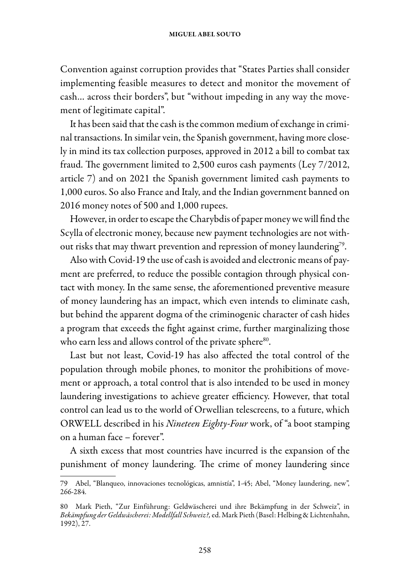Convention against corruption provides that "States Parties shall consider implementing feasible measures to detect and monitor the movement of cash… across their borders", but "without impeding in any way the movement of legitimate capital".

It has been said that the cash is the common medium of exchange in criminal transactions. In similar vein, the Spanish government, having more closely in mind its tax collection purposes, approved in 2012 a bill to combat tax fraud. The government limited to 2,500 euros cash payments (Ley 7/2012, article 7) and on 2021 the Spanish government limited cash payments to 1,000 euros. So also France and Italy, and the Indian government banned on 2016 money notes of 500 and 1,000 rupees.

However, in order to escape the Charybdis of paper money we will find the Scylla of electronic money, because new payment technologies are not without risks that may thwart prevention and repression of money laundering<sup>79</sup>.

Also with Covid-19 the use of cash is avoided and electronic means of payment are preferred, to reduce the possible contagion through physical contact with money. In the same sense, the aforementioned preventive measure of money laundering has an impact, which even intends to eliminate cash, but behind the apparent dogma of the criminogenic character of cash hides a program that exceeds the fight against crime, further marginalizing those who earn less and allows control of the private sphere<sup>80</sup>.

Last but not least, Covid-19 has also affected the total control of the population through mobile phones, to monitor the prohibitions of movement or approach, a total control that is also intended to be used in money laundering investigations to achieve greater efficiency. However, that total control can lead us to the world of Orwellian telescreens, to a future, which ORWELL described in his *Nineteen Eighty-Four* work, of "a boot stamping on a human face – forever".

A sixth excess that most countries have incurred is the expansion of the punishment of money laundering. The crime of money laundering since

<sup>79</sup> Abel, "Blanqueo, innovaciones tecnológicas, amnistía", 1-45; Abel, "Money laundering, new", 266-284.

<sup>80</sup> Mark Pieth, "Zur Einführung: Geldwäscherei und ihre Bekämpfung in der Schweiz", in *Bekämpfung der Geldwäscherei: Modellfall Schweiz?,* ed. Mark Pieth (Basel: Helbing & Lichtenhahn, 1992), 27.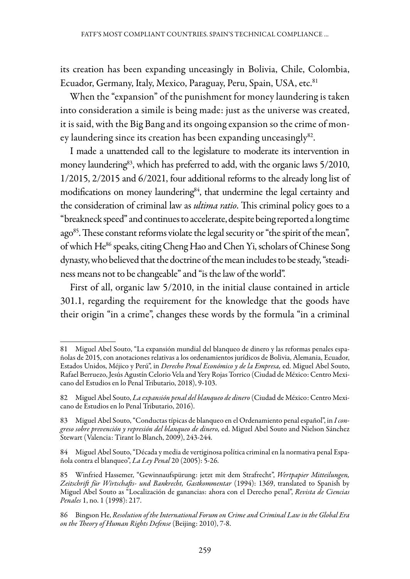its creation has been expanding unceasingly in Bolivia, Chile, Colombia, Ecuador, Germany, Italy, Mexico, Paraguay, Peru, Spain, USA, etc.<sup>81</sup>

When the "expansion" of the punishment for money laundering is taken into consideration a simile is being made: just as the universe was created, it is said, with the Big Bang and its ongoing expansion so the crime of money laundering since its creation has been expanding unceasingly<sup>82</sup>.

I made a unattended call to the legislature to moderate its intervention in money laundering<sup>83</sup>, which has preferred to add, with the organic laws 5/2010, 1/2015, 2/2015 and 6/2021, four additional reforms to the already long list of modifications on money laundering<sup>84</sup>, that undermine the legal certainty and the consideration of criminal law as *ultima ratio*. This criminal policy goes to a "breakneck speed" and continues to accelerate, despite being reported a long time ago<sup>85</sup>. These constant reforms violate the legal security or "the spirit of the mean", of which He<sup>86</sup> speaks, citing Cheng Hao and Chen Yi, scholars of Chinese Song dynasty, who believed that the doctrine of the mean includes to be steady, "steadiness means not to be changeable" and "is the law of the world".

First of all, organic law 5/2010, in the initial clause contained in article 301.1, regarding the requirement for the knowledge that the goods have their origin "in a crime", changes these words by the formula "in a criminal

<sup>81</sup> Miguel Abel Souto, "La expansión mundial del blanqueo de dinero y las reformas penales españolas de 2015, con anotaciones relativas a los ordenamientos jurídicos de Bolivia, Alemania, Ecuador, Estados Unidos, Méjico y Perú", in *Derecho Penal Económico y de la Empresa,* ed. Miguel Abel Souto, Rafael Berruezo, Jesús Agustín Celorio Vela and Yery Rojas Torrico (Ciudad de México: Centro Mexicano del Estudios en lo Penal Tributario, 2018), 9-103.

<sup>82</sup> Miguel Abel Souto, *La expansión penal del blanqueo de dinero* (Ciudad de México: Centro Mexicano de Estudios en lo Penal Tributario, 2016).

<sup>83</sup> Miguel Abel Souto, "Conductas típicas de blanqueo en el Ordenamiento penal español", in *I congreso sobre prevención y represión del blanqueo de dinero,* ed. Miguel Abel Souto and Nielson Sánchez Stewart (Valencia: Tirant lo Blanch, 2009), 243-244.

<sup>84</sup> Miguel Abel Souto, "Década y media de vertiginosa política criminal en la normativa penal Española contra el blanqueo", *La Ley Penal* 20 (2005): 5-26.

<sup>85</sup> Winfried Hassemer, "Gewinnaufspürung: jetzt mit dem Strafrecht", *Wertpapier Mitteilungen, Zeitschrift für Wirtschafts- und Bankrecht, Gastkommentar* (1994): 1369, translated to Spanish by Miguel Abel Souto as "Localización de ganancias: ahora con el Derecho penal", *Revista de Ciencias Penales* 1, no. 1 (1998): 217.

<sup>86</sup> Bingson He, *Resolution of the International Forum on Crime and Criminal Law in the Global Era on the Theory of Human Rights Defense* (Beijing: 2010), 7-8.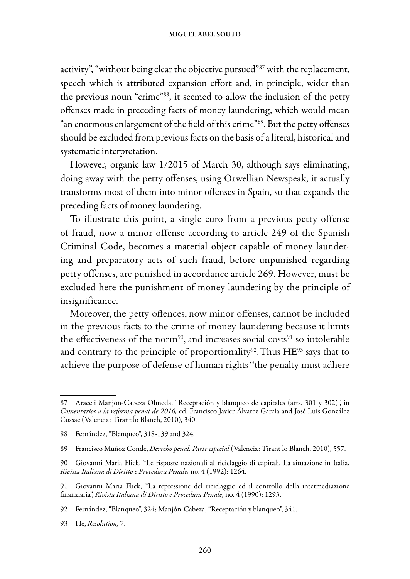activity", "without being clear the objective pursued"87 with the replacement, speech which is attributed expansion effort and, in principle, wider than the previous noun "crime"88, it seemed to allow the inclusion of the petty offenses made in preceding facts of money laundering, which would mean "an enormous enlargement of the field of this crime"89. But the petty offenses should be excluded from previous facts on the basis of a literal, historical and systematic interpretation.

However, organic law 1/2015 of March 30, although says eliminating, doing away with the petty offenses, using Orwellian Newspeak, it actually transforms most of them into minor offenses in Spain, so that expands the preceding facts of money laundering.

To illustrate this point, a single euro from a previous petty offense of fraud, now a minor offense according to article 249 of the Spanish Criminal Code, becomes a material object capable of money laundering and preparatory acts of such fraud, before unpunished regarding petty offenses, are punished in accordance article 269. However, must be excluded here the punishment of money laundering by the principle of insignificance.

Moreover, the petty offences, now minor offenses, cannot be included in the previous facts to the crime of money laundering because it limits the effectiveness of the norm<sup>90</sup>, and increases social costs<sup>91</sup> so intolerable and contrary to the principle of proportionality<sup>92</sup>. Thus  $HE^{93}$  says that to achieve the purpose of defense of human rights "the penalty must adhere

<sup>87</sup> Araceli Manjón-Cabeza Olmeda, "Receptación y blanqueo de capitales (arts. 301 y 302)", in *Comentarios a la reforma penal de 2010,* ed. Francisco Javier Álvarez García and José Luis González Cussac (Valencia: Tirant lo Blanch, 2010), 340.

<sup>88</sup> Fernández, "Blanqueo", 318-139 and 324.

<sup>89</sup> Francisco Muñoz Conde, *Derecho penal. Parte especial* (Valencia: Tirant lo Blanch, 2010), 557.

<sup>90</sup> Giovanni Maria Flick, "Le risposte nazionali al riciclaggio di capitali. La situazione in Italia, *Rivista Italiana di Diritto e Procedura Penale,* no. 4 (1992): 1264.

<sup>91</sup> Giovanni Maria Flick, "La repressione del riciclaggio ed il controllo della intermediazione finanziaria", *Rivista Italiana di Diritto e Procedura Penale,* no. 4 (1990): 1293.

<sup>92</sup> Fernández, "Blanqueo", 324; Manjón-Cabeza, "Receptación y blanqueo", 341.

<sup>93</sup> He, *Resolution,* 7.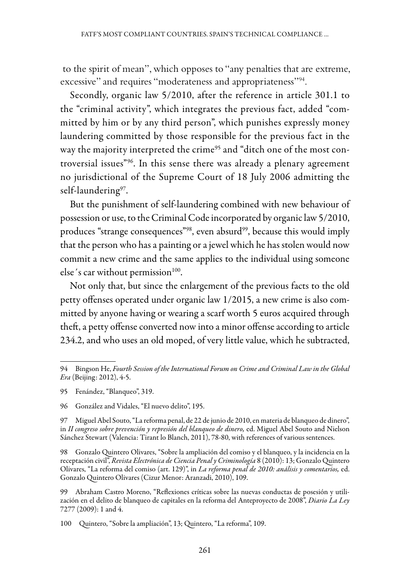to the spirit of mean", which opposes to "any penalties that are extreme, excessive" and requires "moderateness and appropriateness"<sup>94</sup>.

Secondly, organic law 5/2010, after the reference in article 301.1 to the "criminal activity", which integrates the previous fact, added "committed by him or by any third person", which punishes expressly money laundering committed by those responsible for the previous fact in the way the majority interpreted the crime<sup>95</sup> and "ditch one of the most controversial issues"96. In this sense there was already a plenary agreement no jurisdictional of the Supreme Court of 18 July 2006 admitting the self-laundering<sup>97</sup>.

But the punishment of self-laundering combined with new behaviour of possession or use, to the Criminal Code incorporated by organic law 5/2010, produces "strange consequences"<sup>98</sup>, even absurd<sup>99</sup>, because this would imply that the person who has a painting or a jewel which he has stolen would now commit a new crime and the same applies to the individual using someone else's car without permission $100$ .

Not only that, but since the enlargement of the previous facts to the old petty offenses operated under organic law 1/2015, a new crime is also committed by anyone having or wearing a scarf worth 5 euros acquired through theft, a petty offense converted now into a minor offense according to article 234.2, and who uses an old moped, of very little value, which he subtracted,

<sup>94</sup> Bingson He, *Fourth Session of the International Forum on Crime and Criminal Law in the Global Era* (Beijing: 2012), 4-5.

<sup>95</sup> Fenández, "Blanqueo", 319.

<sup>96</sup> González and Vidales, "El nuevo delito", 195.

<sup>97</sup> Miguel Abel Souto, "La reforma penal, de 22 de junio de 2010, en materia de blanqueo de dinero", in *II congreso sobre prevención y represión del blanqueo de dinero,* ed. Miguel Abel Souto and Nielson Sánchez Stewart (Valencia: Tirant lo Blanch, 2011), 78-80, with references of various sentences.

<sup>98</sup> Gonzalo Quintero Olivares, "Sobre la ampliación del comiso y el blanqueo, y la incidencia en la receptación civil", *Revista Electrónica de Ciencia Penal y Criminología* 8 (2010): 13; Gonzalo Quintero Olivares, "La reforma del comiso (art. 129)", in *La reforma penal de 2010: análisis y comentarios,* ed. Gonzalo Quintero Olivares (Cizur Menor: Aranzadi, 2010), 109.

<sup>99</sup> Abraham Castro Moreno, "Reflexiones críticas sobre las nuevas conductas de posesión y utilización en el delito de blanqueo de capitales en la reforma del Anteproyecto de 2008", *Diario La Ley*  7277 (2009): 1 and 4.

<sup>100</sup> Quintero, "Sobre la ampliación", 13; Quintero, "La reforma", 109.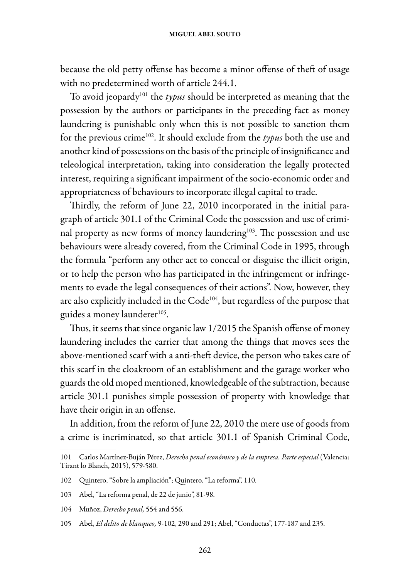because the old petty offense has become a minor offense of theft of usage with no predetermined worth of article 244.1.

To avoid jeopardy101 the *typus* should be interpreted as meaning that the possession by the authors or participants in the preceding fact as money laundering is punishable only when this is not possible to sanction them for the previous crime102. It should exclude from the *typus* both the use and another kind of possessions on the basis of the principle of insignificance and teleological interpretation, taking into consideration the legally protected interest, requiring a significant impairment of the socio-economic order and appropriateness of behaviours to incorporate illegal capital to trade.

Thirdly, the reform of June 22, 2010 incorporated in the initial paragraph of article 301.1 of the Criminal Code the possession and use of criminal property as new forms of money laundering<sup>103</sup>. The possession and use behaviours were already covered, from the Criminal Code in 1995, through the formula "perform any other act to conceal or disguise the illicit origin, or to help the person who has participated in the infringement or infringements to evade the legal consequences of their actions". Now, however, they are also explicitly included in the Code<sup>104</sup>, but regardless of the purpose that guides a money launderer<sup>105</sup>.

Thus, it seems that since organic law 1/2015 the Spanish offense of money laundering includes the carrier that among the things that moves sees the above-mentioned scarf with a anti-theft device, the person who takes care of this scarf in the cloakroom of an establishment and the garage worker who guards the old moped mentioned, knowledgeable of the subtraction, because article 301.1 punishes simple possession of property with knowledge that have their origin in an offense.

In addition, from the reform of June 22, 2010 the mere use of goods from a crime is incriminated, so that article 301.1 of Spanish Criminal Code,

<sup>101</sup> Carlos Martínez-Buján Pérez, *Derecho penal económico y de la empresa. Parte especial* (Valencia: Tirant lo Blanch, 2015), 579-580.

<sup>102</sup> Quintero, "Sobre la ampliación"; Quintero, "La reforma", 110.

<sup>103</sup> Abel, "La reforma penal, de 22 de junio", 81-98.

<sup>104</sup> Muñoz, *Derecho penal,* 554 and 556.

<sup>105</sup> Abel, *El delito de blanqueo,* 9-102, 290 and 291; Abel, "Conductas", 177-187 and 235.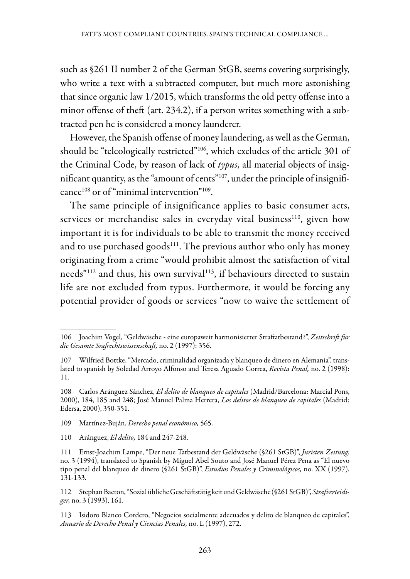such as §261 II number 2 of the German StGB, seems covering surprisingly, who write a text with a subtracted computer, but much more astonishing that since organic law 1/2015, which transforms the old petty offense into a minor offense of theft (art. 234.2), if a person writes something with a subtracted pen he is considered a money launderer.

However, the Spanish offense of money laundering, as well as the German, should be "teleologically restricted"106, which excludes of the article 301 of the Criminal Code, by reason of lack of *typus*, all material objects of insignificant quantity, as the "amount of cents"<sup>107</sup>, under the principle of insignificance<sup>108</sup> or of "minimal intervention"<sup>109</sup>.

The same principle of insignificance applies to basic consumer acts, services or merchandise sales in everyday vital business<sup>110</sup>, given how important it is for individuals to be able to transmit the money received and to use purchased goods<sup>111</sup>. The previous author who only has money originating from a crime "would prohibit almost the satisfaction of vital needs"<sup>112</sup> and thus, his own survival<sup>113</sup>, if behaviours directed to sustain life are not excluded from typus. Furthermore, it would be forcing any potential provider of goods or services "now to waive the settlement of

109 Martínez-Buján, *Derecho penal económico,* 565.

110 Aránguez, *El delito,* 184 and 247-248.

113 Isidoro Blanco Cordero, "Negocios socialmente adecuados y delito de blanqueo de capitales", *Anuario de Derecho Penal y Ciencias Penales,* no. L (1997), 272.

<sup>106</sup> Joachim Vogel, "Geldwäsche - eine europaweit harmonisierter Straftatbestand?", *Zeitschrift für die Gesamte Srafrechtswissenschaft,* no. 2 (1997): 356.

<sup>107</sup> Wilfried Bottke, "Mercado, criminalidad organizada y blanqueo de dinero en Alemania", translated to spanish by Soledad Arroyo Alfonso and Teresa Aguado Correa, *Revista Penal,* no. 2 (1998): 11.

<sup>108</sup> Carlos Aránguez Sánchez, *El delito de blanqueo de capitales* (Madrid/Barcelona: Marcial Pons, 2000), 184, 185 and 248; José Manuel Palma Herrera, *Los delitos de blanqueo de capitales* (Madrid: Edersa, 2000), 350-351.

<sup>111</sup> Ernst-Joachim Lampe, "Der neue Tatbestand der Geldwäsche (§261 StGB)", *Juristen Zeitung*, no. 3 (1994), translated to Spanish by Miguel Abel Souto and José Manuel Pérez Pena as "El nuevo tipo penal del blanqueo de dinero (§261 StGB)", *Estudios Penales y Criminológicos,* no. XX (1997), 131-133.

<sup>112</sup> Stephan Bacton, "Sozial übliche Geschäftstätig keit und Geldwäsche (§261 StGB)", *Strafverteidiger,* no. 3 (1993), 161.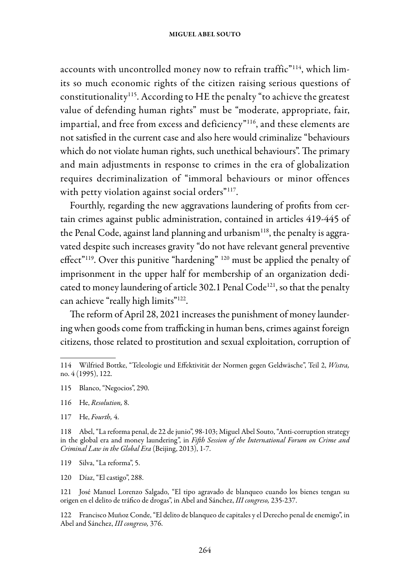accounts with uncontrolled money now to refrain traffic"<sup>114</sup>, which limits so much economic rights of the citizen raising serious questions of constitutionality115. According to HE the penalty "to achieve the greatest value of defending human rights" must be "moderate, appropriate, fair, impartial, and free from excess and deficiency"<sup>116</sup>, and these elements are not satisfied in the current case and also here would criminalize "behaviours which do not violate human rights, such unethical behaviours". The primary and main adjustments in response to crimes in the era of globalization requires decriminalization of "immoral behaviours or minor offences with petty violation against social orders"<sup>117</sup>.

Fourthly, regarding the new aggravations laundering of profits from certain crimes against public administration, contained in articles 419-445 of the Penal Code, against land planning and urbanism<sup>118</sup>, the penalty is aggravated despite such increases gravity "do not have relevant general preventive effect"<sup>119</sup>. Over this punitive "hardening" <sup>120</sup> must be applied the penalty of imprisonment in the upper half for membership of an organization dedicated to money laundering of article 302.1 Penal Code<sup>121</sup>, so that the penalty can achieve "really high limits"<sup>122</sup>.

The reform of April 28, 2021 increases the punishment of money laundering when goods come from trafficking in human bens, crimes against foreign citizens, those related to prostitution and sexual exploitation, corruption of

117 He, *Fourth,* 4.

118 Abel, "La reforma penal, de 22 de junio", 98-103; Miguel Abel Souto, "Anti-corruption strategy in the global era and money laundering", in *Fifth Session of the International Forum on Crime and Criminal Law in the Global Era* (Beijing, 2013), 1-7.

119 Silva, "La reforma", 5.

120 Díaz, "El castigo", 288.

121 José Manuel Lorenzo Salgado, "El tipo agravado de blanqueo cuando los bienes tengan su origen en el delito de tráfico de drogas", in Abel and Sánchez, *III congreso,* 235-237.

122 Francisco Muñoz Conde, "El delito de blanqueo de capitales y el Derecho penal de enemigo", in Abel and Sánchez, *III congreso,* 376.

<sup>114</sup> Wilfried Bottke, "Teleologie und Effektivität der Normen gegen Geldwäsche", Teil 2, *Wistra,*  no. 4 (1995), 122.

<sup>115</sup> Blanco, "Negocios", 290.

<sup>116</sup> He, *Resolution,* 8.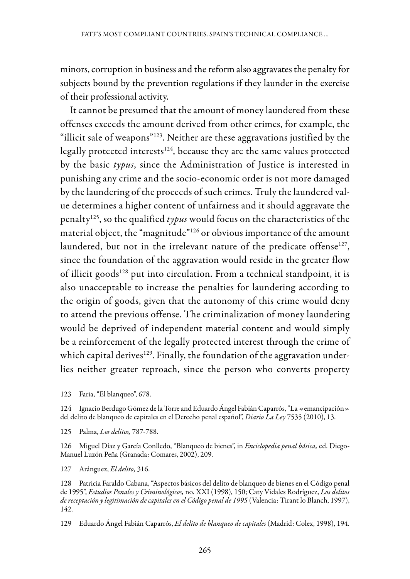minors, corruption in business and the reform also aggravates the penalty for subjects bound by the prevention regulations if they launder in the exercise of their professional activity.

It cannot be presumed that the amount of money laundered from these offenses exceeds the amount derived from other crimes, for example, the "illicit sale of weapons"123. Neither are these aggravations justified by the legally protected interests<sup>124</sup>, because they are the same values protected by the basic *typus*, since the Administration of Justice is interested in punishing any crime and the socio-economic order is not more damaged by the laundering of the proceeds of such crimes. Truly the laundered value determines a higher content of unfairness and it should aggravate the penalty125, so the qualified *typus* would focus on the characteristics of the material object, the "magnitude"126 or obvious importance of the amount laundered, but not in the irrelevant nature of the predicate offense<sup>127</sup>, since the foundation of the aggravation would reside in the greater flow of illicit goods<sup>128</sup> put into circulation. From a technical standpoint, it is also unacceptable to increase the penalties for laundering according to the origin of goods, given that the autonomy of this crime would deny to attend the previous offense. The criminalization of money laundering would be deprived of independent material content and would simply be a reinforcement of the legally protected interest through the crime of which capital derives<sup>129</sup>. Finally, the foundation of the aggravation underlies neither greater reproach, since the person who converts property

127 Aránguez, *El delito,* 316.

<sup>123</sup> Faria, "El blanqueo", 678.

<sup>124</sup> Ignacio Berdugo Gómez de la Torre and Eduardo Ángel Fabián Caparrós, "La «emancipación» del delito de blanqueo de capitales en el Derecho penal español", *Diario La Ley* 7535 (2010), 13.

<sup>125</sup> Palma, *Los delitos,* 787-788.

<sup>126</sup> Miguel Díaz y García Conlledo, "Blanqueo de bienes", in *Enciclopedia penal básica,* ed. Diego-Manuel Luzón Peña (Granada: Comares, 2002), 209.

<sup>128</sup> Patricia Faraldo Cabana, "Aspectos básicos del delito de blanqueo de bienes en el Código penal de 1995", *Estudios Penales y Criminológicos,* no. XXI (1998), 150; Caty Vidales Rodríguez, *Los delitos de receptación y legitimación de capitales en el Código penal de 1995* (Valencia: Tirant lo Blanch, 1997), 142.

<sup>129</sup> Eduardo Ángel Fabián Caparrós, *El delito de blanqueo de capitales* (Madrid: Colex, 1998), 194.